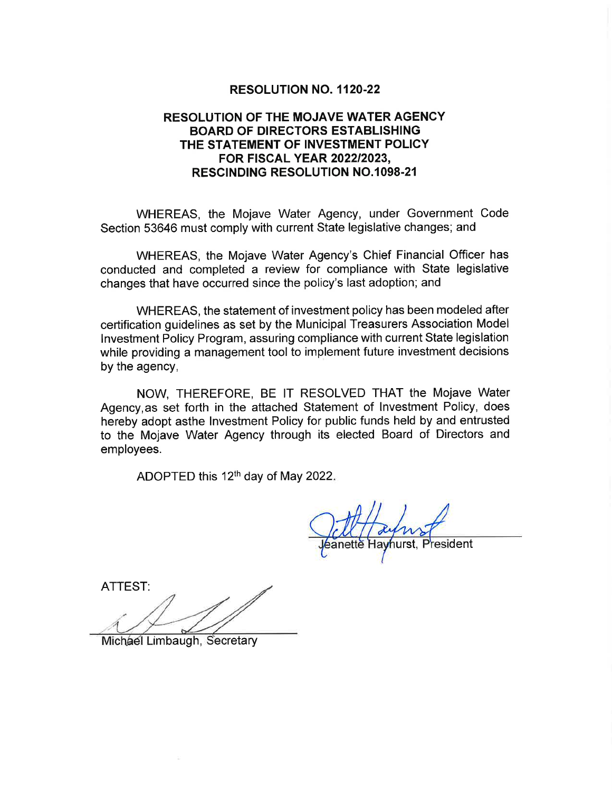# RESOLUTION NO. 1120.22

# RESOLUTION OF THE MOJAVE WATER AGENCY BOARD OF DIRECTORS ESTABLISHING THE STATEMENT OF INVESTMENT POLICY FOR FISCAL YEAR 202212023, **RESCINDING RESOLUTION NO.1098-21**

WHEREAS, the Mojave Water Agency, under Government Code Section 53646 must comply with current State legislative changes; and

WHEREAS, the Mojave Water Agency's Chief Financial Officer has conducted and completed a review for compliance with State legislative changes that have occurred since the policy's last adoption; and

WHEREAS, the statement of investment policy has been modeled after certification guidelines as set by the Municipal Treasurers Association Model lnvestment Policy Program, assuring compliance with current State legislation while providing a management tool to implement future investment decisions by the agency,

NOW, THEREFORE, BE lT RESOLVED THAT the Mojave Water Agency,as set forth in the attached Statement of lnvestment Policy, does hereby adopt asthe lnvestment Policy for public funds held by and entrusted to the Mojave Water Agency through its elected Board of Directors and employees.

ADOPTED this  $12<sup>th</sup>$  day of May 2022.

esident

ATTEST:

Michael Limbaugh, Secretary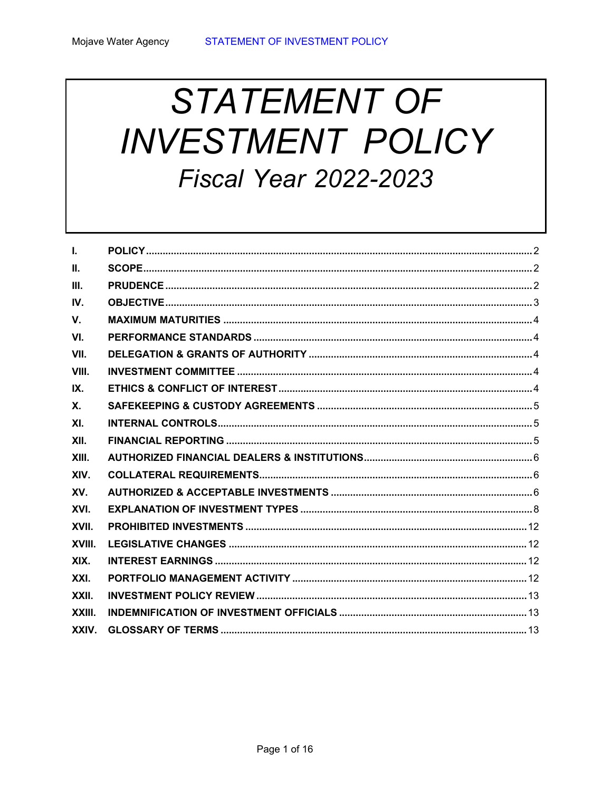# **STATEMENT OF INVESTMENT POLICY Fiscal Year 2022-2023**

| $\mathbf{L}$   |  |
|----------------|--|
| $\Pi$ .        |  |
| III.           |  |
| IV.            |  |
| V.             |  |
| VI.            |  |
| VII.           |  |
| VIII.          |  |
| IX.            |  |
| $\mathbf{X}$ . |  |
| XI.            |  |
| XII.           |  |
| XIII.          |  |
| XIV.           |  |
| XV.            |  |
| XVI.           |  |
| XVII.          |  |
| <b>XVIII</b>   |  |
| XIX.           |  |
| XXI.           |  |
| XXII.          |  |
| XXIII.         |  |
| XXIV.          |  |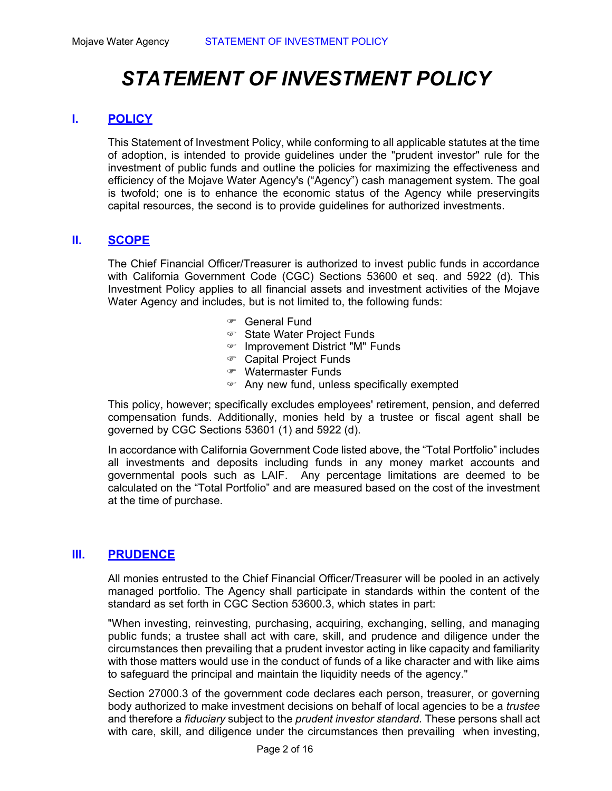# *STATEMENT OF INVESTMENT POLICY*

# **I. POLICY**

This Statement of Investment Policy, while conforming to all applicable statutes at the time of adoption, is intended to provide guidelines under the "prudent investor" rule for the investment of public funds and outline the policies for maximizing the effectiveness and efficiency of the Mojave Water Agency's ("Agency") cash management system. The goal is twofold; one is to enhance the economic status of the Agency while preservingits capital resources, the second is to provide guidelines for authorized investments.

# **II. SCOPE**

The Chief Financial Officer/Treasurer is authorized to invest public funds in accordance with California Government Code (CGC) Sections 53600 et seq. and 5922 (d). This Investment Policy applies to all financial assets and investment activities of the Mojave Water Agency and includes, but is not limited to, the following funds:

- General Fund
- State Water Project Funds
- Improvement District "M" Funds
- Capital Project Funds
- Watermaster Funds
- Any new fund, unless specifically exempted

This policy, however; specifically excludes employees' retirement, pension, and deferred compensation funds. Additionally, monies held by a trustee or fiscal agent shall be governed by CGC Sections 53601 (1) and 5922 (d).

In accordance with California Government Code listed above, the "Total Portfolio" includes all investments and deposits including funds in any money market accounts and governmental pools such as LAIF. Any percentage limitations are deemed to be calculated on the "Total Portfolio" and are measured based on the cost of the investment at the time of purchase.

# **III. PRUDENCE**

All monies entrusted to the Chief Financial Officer/Treasurer will be pooled in an actively managed portfolio. The Agency shall participate in standards within the content of the standard as set forth in CGC Section 53600.3, which states in part:

"When investing, reinvesting, purchasing, acquiring, exchanging, selling, and managing public funds; a trustee shall act with care, skill, and prudence and diligence under the circumstances then prevailing that a prudent investor acting in like capacity and familiarity with those matters would use in the conduct of funds of a like character and with like aims to safeguard the principal and maintain the liquidity needs of the agency."

Section 27000.3 of the government code declares each person, treasurer, or governing body authorized to make investment decisions on behalf of local agencies to be a *trustee*  and therefore a *fiduciary* subject to the *prudent investor standard.* These persons shall act with care, skill, and diligence under the circumstances then prevailing when investing,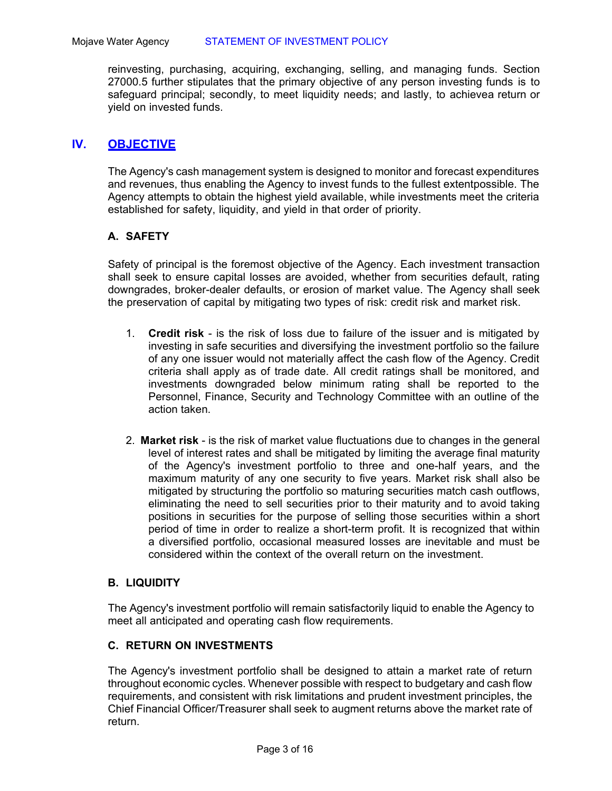reinvesting, purchasing, acquiring, exchanging, selling, and managing funds. Section 27000.5 further stipulates that the primary objective of any person investing funds is to safeguard principal; secondly, to meet liquidity needs; and lastly, to achievea return or yield on invested funds.

# **IV. OBJECTIVE**

The Agency's cash management system is designed to monitor and forecast expenditures and revenues, thus enabling the Agency to invest funds to the fullest extent possible. The Agency attempts to obtain the highest yield available, while investments meet the criteria established for safety, liquidity, and yield in that order of priority.

# **A. SAFETY**

Safety of principal is the foremost objective of the Agency. Each investment transaction shall seek to ensure capital losses are avoided, whether from securities default, rating downgrades, broker-dealer defaults, or erosion of market value. The Agency shall seek the preservation of capital by mitigating two types of risk: credit risk and market risk.

- 1. **Credit risk**  is the risk of loss due to failure of the issuer and is mitigated by investing in safe securities and diversifying the investment portfolio so the failure of any one issuer would not materially affect the cash flow of the Agency. Credit criteria shall apply as of trade date. All credit ratings shall be monitored, and investments downgraded below minimum rating shall be reported to the Personnel, Finance, Security and Technology Committee with an outline of the action taken.
- 2. **Market risk**  is the risk of market value fluctuations due to changes in the general level of interest rates and shall be mitigated by limiting the average final maturity of the Agency's investment portfolio to three and one-half years, and the maximum maturity of any one security to five years. Market risk shall also be mitigated by structuring the portfolio so maturing securities match cash outflows, eliminating the need to sell securities prior to their maturity and to avoid taking positions in securities for the purpose of selling those securities within a short period of time in order to realize a short-term profit. It is recognized that within a diversified portfolio, occasional measured losses are inevitable and must be considered within the context of the overall return on the investment.

# **B. LIQUIDITY**

The Agency's investment portfolio will remain satisfactorily liquid to enable the Agency to meet all anticipated and operating cash flow requirements.

# **C. RETURN ON INVESTMENTS**

The Agency's investment portfolio shall be designed to attain a market rate of return throughout economic cycles. Whenever possible with respect to budgetary and cash flow requirements, and consistent with risk limitations and prudent investment principles, the Chief Financial Officer/Treasurer shall seek to augment returns above the market rate of return.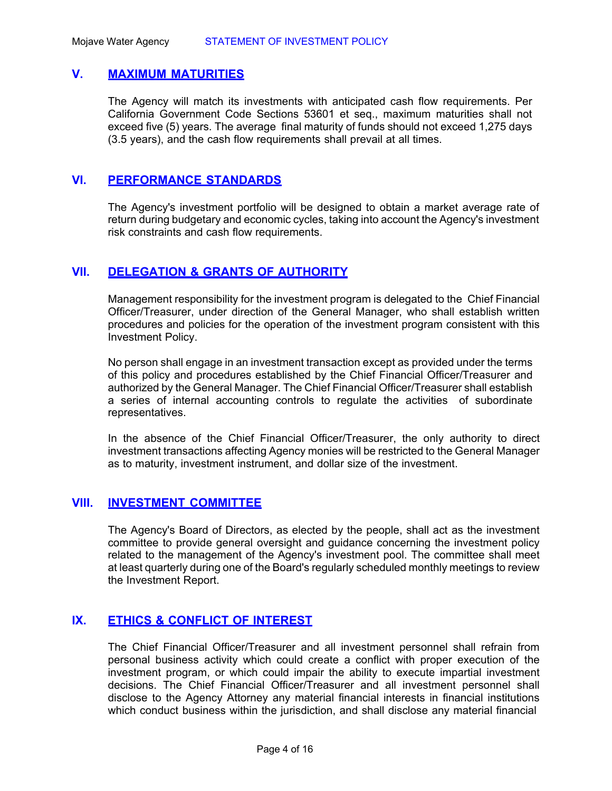# **V. MAXIMUM MATURITIES**

The Agency will match its investments with anticipated cash flow requirements. Per California Government Code Sections 53601 et seq., maximum maturities shall not exceed five (5) years. The average final maturity of funds should not exceed 1,275 days (3.5 years), and the cash flow requirements shall prevail at all times.

# **VI. PERFORMANCE STANDARDS**

The Agency's investment portfolio will be designed to obtain a market average rate of return during budgetary and economic cycles, taking into account the Agency's investment risk constraints and cash flow requirements.

# **VII. DELEGATION & GRANTS OF AUTHORITY**

Management responsibility for the investment program is delegated to the Chief Financial Officer/Treasurer, under direction of the General Manager, who shall establish written procedures and policies for the operation of the investment program consistent with this Investment Policy.

No person shall engage in an investment transaction except as provided under the terms of this policy and procedures established by the Chief Financial Officer/Treasurer and authorized by the General Manager. The Chief Financial Officer/Treasurer shall establish a series of internal accounting controls to regulate the activities of subordinate representatives.

In the absence of the Chief Financial Officer/Treasurer, the only authority to direct investment transactions affecting Agency monies will be restricted to the General Manager as to maturity, investment instrument, and dollar size of the investment.

# **VIII. INVESTMENT COMMITTEE**

The Agency's Board of Directors, as elected by the people, shall act as the investment committee to provide general oversight and guidance concerning the investment policy related to the management of the Agency's investment pool. The committee shall meet at least quarterly during one of the Board's regularly scheduled monthly meetings to review the Investment Report.

# **IX. ETHICS & CONFLICT OF INTEREST**

The Chief Financial Officer/Treasurer and all investment personnel shall refrain from personal business activity which could create a conflict with proper execution of the investment program, or which could impair the ability to execute impartial investment decisions. The Chief Financial Officer/Treasurer and all investment personnel shall disclose to the Agency Attorney any material financial interests in financial institutions which conduct business within the jurisdiction, and shall disclose any material financial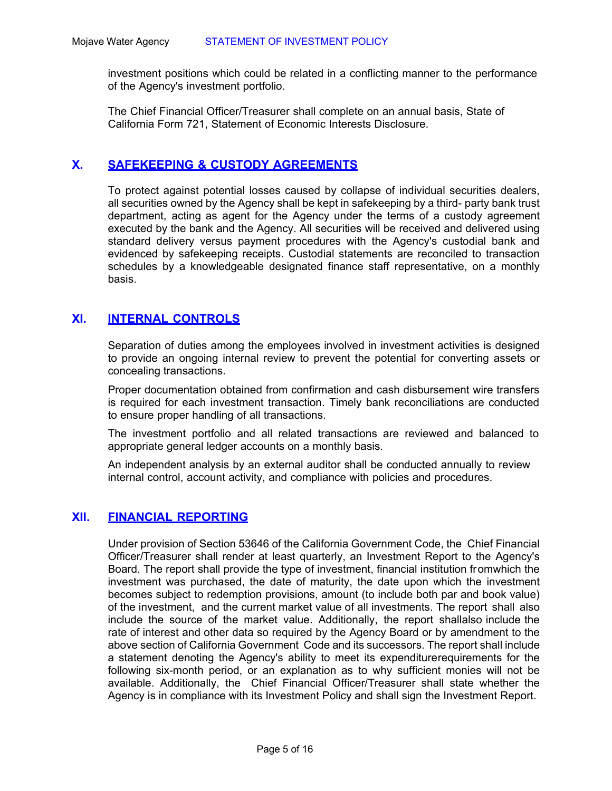investment positions which could be related in a conflicting manner to the performance of the Agency's investment portfolio.

The Chief Financial Officer/Treasurer shall complete on an annual basis, State of California Form 721, Statement of Economic Interests Disclosure.

# **X. SAFEKEEPING & CUSTODY AGREEMENTS**

To protect against potential losses caused by collapse of individual securities dealers, all securities owned by the Agency shall be kept in safekeeping by a third- party bank trust department, acting as agent for the Agency under the terms of a custody agreement executed by the bank and the Agency. All securities will be received and delivered using standard delivery versus payment procedures with the Agency's custodial bank and evidenced by safekeeping receipts. Custodial statements are reconciled to transaction schedules by a knowledgeable designated finance staff representative, on a monthly basis.

# **XI. INTERNAL CONTROLS**

Separation of duties among the employees involved in investment activities is designed to provide an ongoing internal review to prevent the potential for converting assets or concealing transactions.

Proper documentation obtained from confirmation and cash disbursement wire transfers is required for each investment transaction. Timely bank reconciliations are conducted to ensure proper handling of all transactions.

The investment portfolio and all related transactions are reviewed and balanced to appropriate general ledger accounts on a monthly basis.

An independent analysis by an external auditor shall be conducted annually to review internal control, account activity, and compliance with policies and procedures.

# **XII. FINANCIAL REPORTING**

Under provision of Section 53646 of the California Government Code, the Chief Financial Officer/Treasurer shall render at least quarterly, an Investment Report to the Agency's Board. The report shall provide the type of investment, financial institution fr om which the investment was purchased, the date of maturity, the date upon which the investment becomes subject to redemption provisions, amount (to include both par and book value) of the investment, and the current market value of all investments. The report shall also include the source of the market value. Additionally, the report shallalso include the rate of interest and other data so required by the Agency Board or by amendment to the above section of California Government Code and its successors. The report shall include a statement denoting the Agency's ability to meet its expenditure requirements for the following six-month period, or an explanation as to why sufficient monies will not be available. Additionally, the Chief Financial Officer/Treasurer shall state whether the Agency is in compliance with its Investment Policy and shall sign the Investment Report.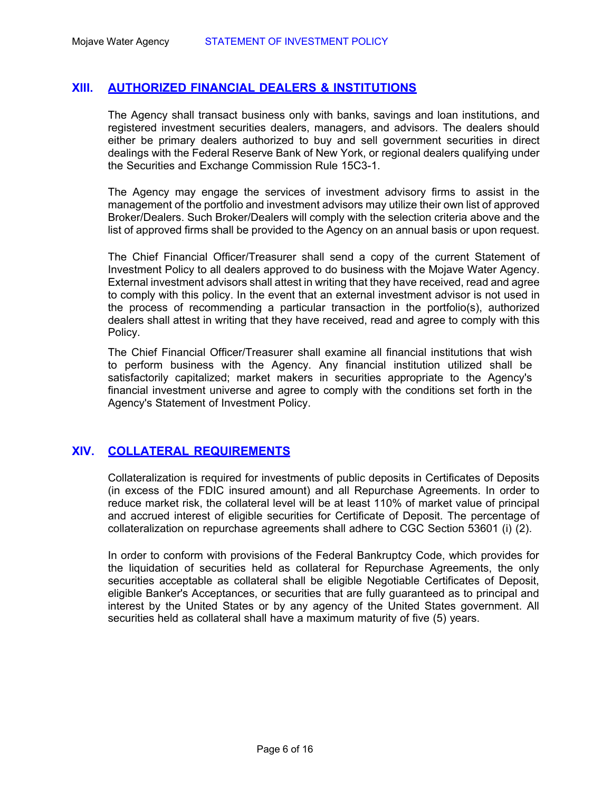# **XIII. AUTHORIZED FINANCIAL DEALERS & INSTITUTIONS**

The Agency shall transact business only with banks, savings and loan institutions, and registered investment securities dealers, managers, and advisors. The dealers should either be primary dealers authorized to buy and sell government securities in direct dealings with the Federal Reserve Bank of New York, or regional dealers qualifying under the Securities and Exchange Commission Rule 15C3-1.

The Agency may engage the services of investment advisory firms to assist in the management of the portfolio and investment advisors may utilize their own list of approved Broker/Dealers. Such Broker/Dealers will comply with the selection criteria above and the list of approved firms shall be provided to the Agency on an annual basis or upon request.

The Chief Financial Officer/Treasurer shall send a copy of the current Statement of Investment Policy to all dealers approved to do business with the Mojave Water Agency. External investment advisors shall attest in writing that they have received, read and agree to comply with this policy. In the event that an external investment advisor is not used in the process of recommending a particular transaction in the portfolio(s), authorized dealers shall attest in writing that they have received, read and agree to comply with this Policy.

The Chief Financial Officer/Treasurer shall examine all financial institutions that wish to perform business with the Agency. Any financial institution utilized shall be satisfactorily capitalized; market makers in securities appropriate to the Agency's financial investment universe and agree to comply with the conditions set forth in the Agency's Statement of Investment Policy.

# **XIV. COLLATERAL REQUIREMENTS**

Collateralization is required for investments of public deposits in Certificates of Deposits (in excess of the FDIC insured amount) and all Repurchase Agreements. In order to reduce market risk, the collateral level will be at least 110% of market value of principal and accrued interest of eligible securities for Certificate of Deposit. The percentage of collateralization on repurchase agreements shall adhere to CGC Section 53601 (i) (2).

In order to conform with provisions of the Federal Bankruptcy Code, which provides for the liquidation of securities held as collateral for Repurchase Agreements, the only securities acceptable as collateral shall be eligible Negotiable Certificates of Deposit, eligible Banker's Acceptances, or securities that are fully guaranteed as to principal and interest by the United States or by any agency of the United States government. All securities held as collateral shall have a maximum maturity of five (5) years.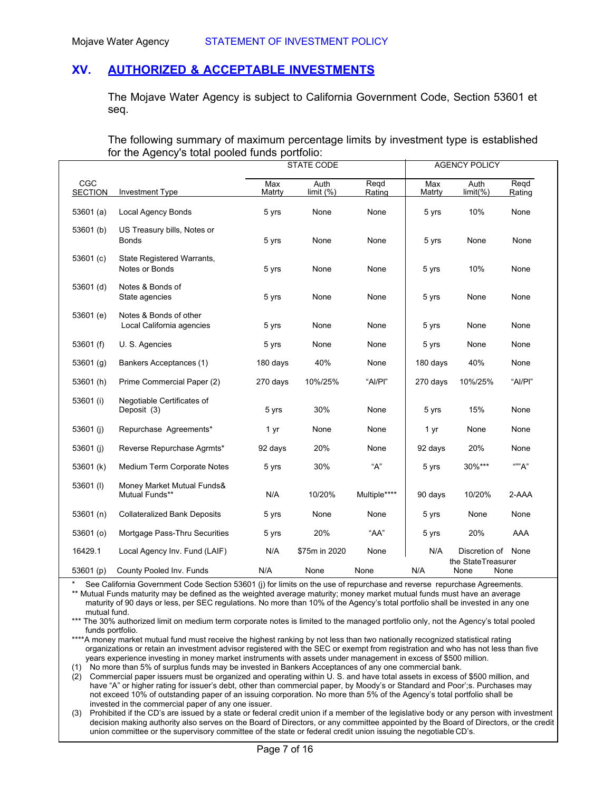# **XV. AUTHORIZED & ACCEPTABLE INVESTMENTS**

The Mojave Water Agency is subject to California Government Code, Section 53601 et seq.

The following summary of maximum percentage limits by investment type is established for the Agency's total pooled funds portfolio:

|                       |                                                     | <b>STATE CODE</b> |                     | <b>AGENCY POLICY</b> |               |                            |                |
|-----------------------|-----------------------------------------------------|-------------------|---------------------|----------------------|---------------|----------------------------|----------------|
| CGC<br><b>SECTION</b> | <b>Investment Type</b>                              | Max<br>Matrty     | Auth<br>limit $(%)$ | Regd<br>Rating       | Max<br>Matrty | Auth<br>limit(% )          | Regd<br>Rating |
| 53601(a)              | <b>Local Agency Bonds</b>                           | 5 yrs             | None                | None                 | 5 yrs         | 10%                        | None           |
| 53601 (b)             | US Treasury bills, Notes or<br>Bonds                | 5 yrs             | None                | None                 | 5 yrs         | None                       | None           |
| 53601 $(c)$           | State Registered Warrants,<br>Notes or Bonds        | 5 yrs             | None                | None                 | 5 yrs         | 10%                        | None           |
| 53601 (d)             | Notes & Bonds of<br>State agencies                  | 5 yrs             | None                | None                 | 5 yrs         | None                       | None           |
| 53601 (e)             | Notes & Bonds of other<br>Local California agencies | 5 yrs             | None                | None                 | 5 yrs         | None                       | None           |
| 53601 $(f)$           | U.S. Agencies                                       | 5 yrs             | None                | None                 | 5 yrs         | None                       | None           |
| 53601(g)              | Bankers Acceptances (1)                             | 180 days          | 40%                 | None                 | 180 days      | 40%                        | None           |
| 53601 (h)             | Prime Commercial Paper (2)                          | 270 days          | 10%/25%             | "Al/Pl"              | 270 days      | 10%/25%                    | "Al/Pl"        |
| 53601 (i)             | Negotiable Certificates of<br>Deposit (3)           | 5 yrs             | 30%                 | None                 | 5 yrs         | 15%                        | None           |
| 53601 (j)             | Repurchase Agreements*                              | 1 yr              | None                | None                 | 1 yr          | None                       | None           |
| 53601 (j)             | Reverse Repurchase Agrmts*                          | 92 days           | 20%                 | None                 | 92 days       | 20%                        | None           |
| 53601 (k)             | Medium Term Corporate Notes                         | 5 yrs             | 30%                 | "А"                  | 5 yrs         | 30%***                     | ""А"           |
| 53601(I)              | Money Market Mutual Funds&<br>Mutual Funds**        | N/A               | 10/20%              | Multiple****         | 90 days       | 10/20%                     | 2-AAA          |
| 53601(h)              | <b>Collateralized Bank Deposits</b>                 | 5 yrs             | None                | None                 | 5 yrs         | None                       | None           |
| 53601 (o)             | Mortgage Pass-Thru Securities                       | 5 yrs             | 20%                 | "AA"                 | 5 yrs         | 20%                        | AAA            |
| 16429.1               | Local Agency Inv. Fund (LAIF)                       | N/A               | \$75m in 2020       | None                 | N/A           | Discretion of              | None           |
| 53601 (p)             | County Pooled Inv. Funds                            | N/A               | None                | None                 | N/A           | the StateTreasurer<br>None | None           |

See California Government Code Section 53601 (j) for limits on the use of repurchase and reverse repurchase Agreements. \*\* Mutual Funds maturity may be defined as the weighted average maturity; money market mutual funds must have an average maturity of 90 days or less, per SEC regulations. No more than 10% of the Agency's total portfolio shall be invested in any one mutual fund.

\*\*\* The 30% authorized limit on medium term corporate notes is limited to the managed portfolio only, not the Agency's total pooled funds portfolio.

\*\*\*\*A money market mutual fund must receive the highest ranking by not less than two nationally recognized statistical rating organizations or retain an investment advisor registered with the SEC or exempt from registration and who has not less than five years experience investing in money market instruments with assets under management in excess of \$500 million.

(1) No more than 5% of surplus funds may be invested in Bankers Acceptances of any one commercial bank.

(2) Commercial paper issuers must be organized and operating within U. S. and have total assets in excess of \$500 million, and have "A" or higher rating for issuer's debt, other than commercial paper, by Moody's or Standard and Poor';s. Purchases may not exceed 10% of outstanding paper of an issuing corporation. No more than 5% of the Agency's total portfolio shall be invested in the commercial paper of any one issuer.

(3) Prohibited if the CD's are issued by a state or federal credit union if a member of the legislative body or any person with investment decision making authority also serves on the Board of Directors, or any committee appointed by the Board of Directors, or the credit union committee or the supervisory committee of the state or federal credit union issuing the negotiable CD's.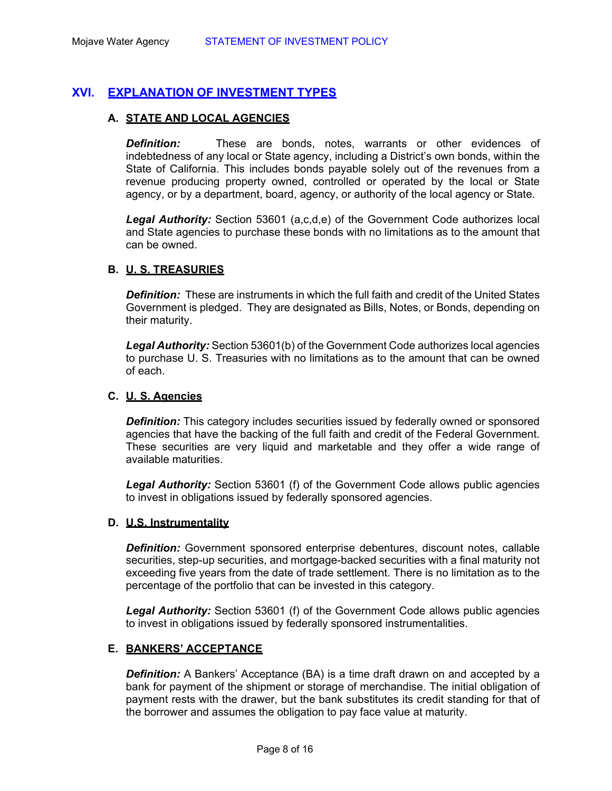# **XVI. EXPLANATION OF INVESTMENT TYPES**

# **A. STATE AND LOCAL AGENCIES**

*Definition:* These are bonds, notes, warrants or other evidences of indebtedness of any local or State agency, including a District's own bonds, within the State of California. This includes bonds payable solely out of the revenues from a revenue producing property owned, controlled or operated by the local or State agency, or by a department, board, agency, or authority of the local agency or State.

*Legal Authority:* Section 53601 (a,c,d,e) of the Government Code authorizes local and State agencies to purchase these bonds with no limitations as to the amount that can be owned.

# **B. U. S. TREASURIES**

*Definition:* These are instruments in which the full faith and credit of the United States Government is pledged. They are designated as Bills, Notes, or Bonds, depending on their maturity.

*Legal Authority:* Section 53601(b) of the Government Code authorizes local agencies to purchase U. S. Treasuries with no limitations as to the amount that can be owned of each.

# **C. U. S. Agencies**

**Definition:** This category includes securities issued by federally owned or sponsored agencies that have the backing of the full faith and credit of the Federal Government. These securities are very liquid and marketable and they offer a wide range of available maturities.

*Legal Authority:* Section 53601 (f) of the Government Code allows public agencies to invest in obligations issued by federally sponsored agencies.

#### **D. U.S. Instrumentality**

*Definition:* Government sponsored enterprise debentures, discount notes, callable securities, step-up securities, and mortgage-backed securities with a final maturity not exceeding five years from the date of trade settlement. There is no limitation as to the percentage of the portfolio that can be invested in this category.

*Legal Authority:* Section 53601 (f) of the Government Code allows public agencies to invest in obligations issued by federally sponsored instrumentalities.

# **E. BANKERS' ACCEPTANCE**

**Definition:** A Bankers' Acceptance (BA) is a time draft drawn on and accepted by a bank for payment of the shipment or storage of merchandise. The initial obligation of payment rests with the drawer, but the bank substitutes its credit standing for that of the borrower and assumes the obligation to pay face value at maturity.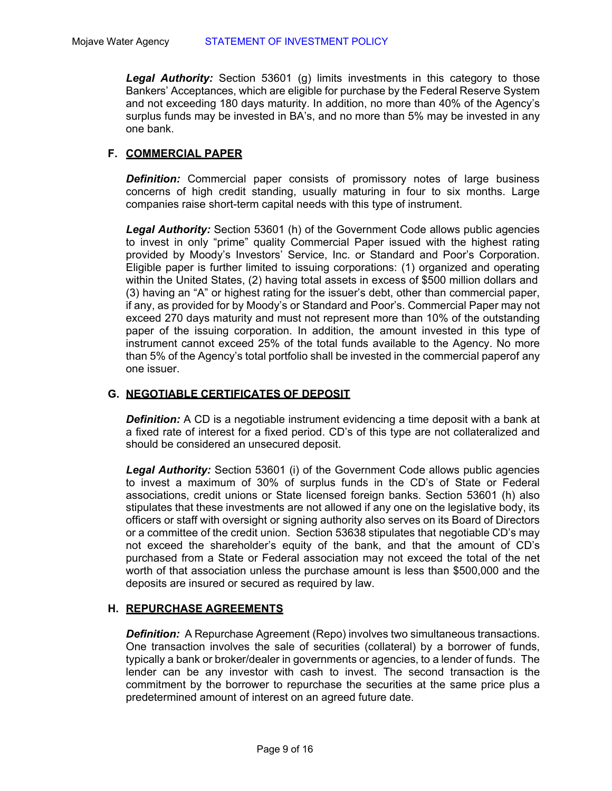*Legal Authority:* Section 53601 (g) limits investments in this category to those Bankers' Acceptances, which are eligible for purchase by the Federal Reserve System and not exceeding 180 days maturity. In addition, no more than 40% of the Agency's surplus funds may be invested in BA's, and no more than 5% may be invested in any one bank.

# **F. COMMERCIAL PAPER**

*Definition:* Commercial paper consists of promissory notes of large business concerns of high credit standing, usually maturing in four to six months. Large companies raise short-term capital needs with this type of instrument.

*Legal Authority:* Section 53601 (h) of the Government Code allows public agencies to invest in only "prime" quality Commercial Paper issued with the highest rating provided by Moody's Investors' Service, Inc. or Standard and Poor's Corporation. Eligible paper is further limited to issuing corporations: (1) organized and operating within the United States, (2) having total assets in excess of \$500 million dollars and (3) having an "A" or highest rating for the issuer's debt, other than commercial paper, if any, as provided for by Moody's or Standard and Poor's. Commercial Paper may not exceed 270 days maturity and must not represent more than 10% of the outstanding paper of the issuing corporation. In addition, the amount invested in this type of instrument cannot exceed 25% of the total funds available to the Agency. No more than 5% of the Agency's total portfolio shall be invested in the commercial paperof any one issuer.

#### **G. NEGOTIABLE CERTIFICATES OF DEPOSIT**

**Definition:** A CD is a negotiable instrument evidencing a time deposit with a bank at a fixed rate of interest for a fixed period. CD's of this type are not collateralized and should be considered an unsecured deposit.

*Legal Authority:* Section 53601 (i) of the Government Code allows public agencies to invest a maximum of 30% of surplus funds in the CD's of State or Federal associations, credit unions or State licensed foreign banks. Section 53601 (h) also stipulates that these investments are not allowed if any one on the legislative body, its officers or staff with oversight or signing authority also serves on its Board of Directors or a committee of the credit union. Section 53638 stipulates that negotiable CD's may not exceed the shareholder's equity of the bank, and that the amount of CD's purchased from a State or Federal association may not exceed the total of the net worth of that association unless the purchase amount is less than \$500,000 and the deposits are insured or secured as required by law.

#### **H. REPURCHASE AGREEMENTS**

*Definition:* A Repurchase Agreement (Repo) involves two simultaneous transactions. One transaction involves the sale of securities (collateral) by a borrower of funds, typically a bank or broker/dealer in governments or agencies, to a lender of funds. The lender can be any investor with cash to invest. The second transaction is the commitment by the borrower to repurchase the securities at the same price plus a predetermined amount of interest on an agreed future date.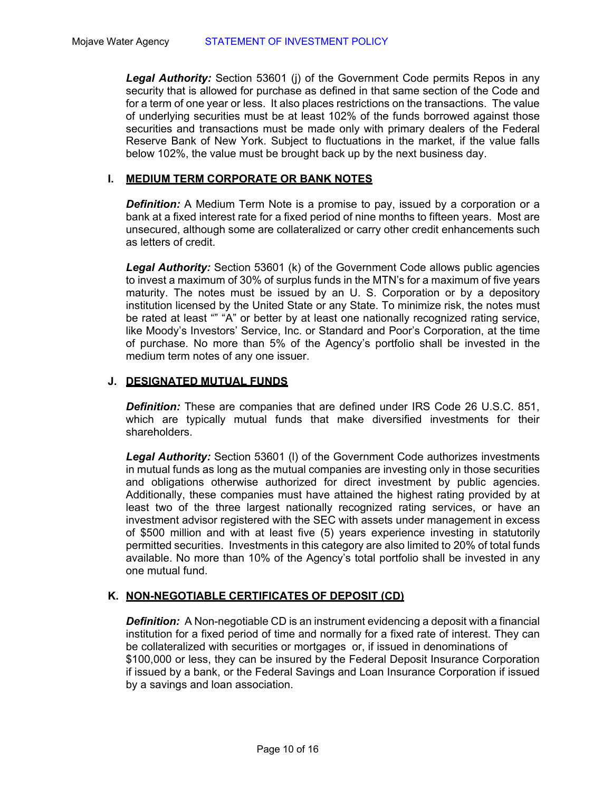*Legal Authority:* Section 53601 (j) of the Government Code permits Repos in any security that is allowed for purchase as defined in that same section of the Code and for a term of one year or less. It also places restrictions on the transactions. The value of underlying securities must be at least 102% of the funds borrowed against those securities and transactions must be made only with primary dealers of the Federal Reserve Bank of New York. Subject to fluctuations in the market, if the value falls below 102%, the value must be brought back up by the next business day.

#### **I. MEDIUM TERM CORPORATE OR BANK NOTES**

**Definition:** A Medium Term Note is a promise to pay, issued by a corporation or a bank at a fixed interest rate for a fixed period of nine months to fifteen years. Most are unsecured, although some are collateralized or carry other credit enhancements such as letters of credit.

*Legal Authority:* Section 53601 (k) of the Government Code allows public agencies to invest a maximum of 30% of surplus funds in the MTN's for a maximum of five years maturity. The notes must be issued by an U. S. Corporation or by a depository institution licensed by the United State or any State. To minimize risk, the notes must be rated at least "" "A" or better by at least one nationally recognized rating service, like Moody's Investors' Service, Inc. or Standard and Poor's Corporation, at the time of purchase. No more than 5% of the Agency's portfolio shall be invested in the medium term notes of any one issuer.

# **J. DESIGNATED MUTUAL FUNDS**

*Definition:* These are companies that are defined under IRS Code 26 U.S.C. 851, which are typically mutual funds that make diversified investments for their shareholders.

*Legal Authority:* Section 53601 (l) of the Government Code authorizes investments in mutual funds as long as the mutual companies are investing only in those securities and obligations otherwise authorized for direct investment by public agencies. Additionally, these companies must have attained the highest rating provided by at least two of the three largest nationally recognized rating services, or have an investment advisor registered with the SEC with assets under management in excess of \$500 million and with at least five (5) years experience investing in statutorily permitted securities. Investments in this category are also limited to 20% of total funds available. No more than 10% of the Agency's total portfolio shall be invested in any one mutual fund.

# **K. NON-NEGOTIABLE CERTIFICATES OF DEPOSIT (CD)**

*Definition:* A Non-negotiable CD is an instrument evidencing a deposit with a financial institution for a fixed period of time and normally for a fixed rate of interest. They can be collateralized with securities or mortgages or, if issued in denominations of \$100,000 or less, they can be insured by the Federal Deposit Insurance Corporation if issued by a bank, or the Federal Savings and Loan Insurance Corporation if issued by a savings and loan association.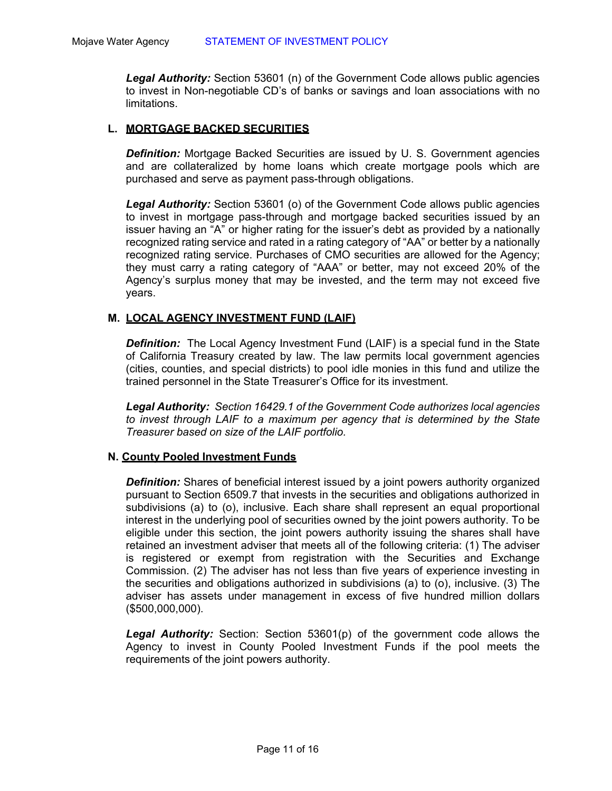*Legal Authority:* Section 53601 (n) of the Government Code allows public agencies to invest in Non-negotiable CD's of banks or savings and loan associations with no limitations.

#### **L. MORTGAGE BACKED SECURITIES**

**Definition:** Mortgage Backed Securities are issued by U. S. Government agencies and are collateralized by home loans which create mortgage pools which are purchased and serve as payment pass-through obligations.

*Legal Authority:* Section 53601 (o) of the Government Code allows public agencies to invest in mortgage pass-through and mortgage backed securities issued by an issuer having an "A" or higher rating for the issuer's debt as provided by a nationally recognized rating service and rated in a rating category of "AA" or better by a nationally recognized rating service. Purchases of CMO securities are allowed for the Agency; they must carry a rating category of "AAA" or better, may not exceed 20% of the Agency's surplus money that may be invested, and the term may not exceed five years.

#### **M. LOCAL AGENCY INVESTMENT FUND (LAIF)**

*Definition:* The Local Agency Investment Fund (LAIF) is a special fund in the State of California Treasury created by law. The law permits local government agencies (cities, counties, and special districts) to pool idle monies in this fund and utilize the trained personnel in the State Treasurer's Office for its investment.

*Legal Authority: Section 16429.1 of the Government Code authorizes local agencies*  to invest through LAIF to a maximum per agency that is determined by the State *Treasurer based on size of the LAIF portfolio.* 

#### **N. County Pooled Investment Funds**

**Definition:** Shares of beneficial interest issued by a joint powers authority organized pursuant to Section 6509.7 that invests in the securities and obligations authorized in subdivisions (a) to (o), inclusive. Each share shall represent an equal proportional interest in the underlying pool of securities owned by the joint powers authority. To be eligible under this section, the joint powers authority issuing the shares shall have retained an investment adviser that meets all of the following criteria: (1) The adviser is registered or exempt from registration with the Securities and Exchange Commission. (2) The adviser has not less than five years of experience investing in the securities and obligations authorized in subdivisions (a) to (o), inclusive. (3) The adviser has assets under management in excess of five hundred million dollars (\$500,000,000).

*Legal Authority:* Section: Section 53601(p) of the government code allows the Agency to invest in County Pooled Investment Funds if the pool meets the requirements of the joint powers authority.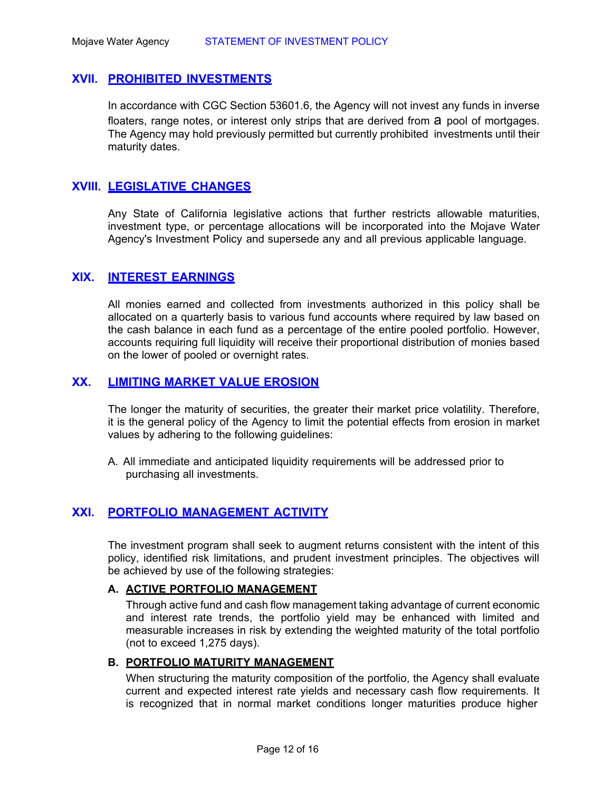#### **XVII. PROHIBITED INVESTMENTS**

In accordance with CGC Section 53601.6, the Agency will not invest any funds in inverse floaters, range notes, or interest only strips that are derived from a pool of mortgages. The Agency may hold previously permitted but currently prohibited investments until their maturity dates.

# **XVIII. LEGISLATIVE CHANGES**

Any State of California legislative actions that further restricts allowable maturities, investment type, or percentage allocations will be incorporated into the Mojave Water Agency's Investment Policy and supersede any and all previous applicable language.

# **XIX. INTEREST EARNINGS**

All monies earned and collected from investments authorized in this policy shall be allocated on a quarterly basis to various fund accounts where required by law based on the cash balance in each fund as a percentage of the entire pooled portfolio. However, accounts requiring full liquidity will receive their proportional distribution of monies based on the lower of pooled or overnight rates.

# **XX. LIMITING MARKET VALUE EROSION**

The longer the maturity of securities, the greater their market price volatility. Therefore, it is the general policy of the Agency to limit the potential effects from erosion in market values by adhering to the following guidelines:

A. All immediate and anticipated liquidity requirements will be addressed prior to purchasing all investments.

# **XXI. PORTFOLIO MANAGEMENT ACTIVITY**

The investment program shall seek to augment returns consistent with the intent of this policy, identified risk limitations, and prudent investment principles. The objectives will be achieved by use of the following strategies:

#### **A. ACTIVE PORTFOLIO MANAGEMENT**

Through active fund and cash flow management taking advantage of current economic and interest rate trends, the portfolio yield may be enhanced with limited and measurable increases in risk by extending the weighted maturity of the total portfolio (not to exceed 1,275 days).

#### **B. PORTFOLIO MATURITY MANAGEMENT**

When structuring the maturity composition of the portfolio, the Agency shall evaluate current and expected interest rate yields and necessary cash flow requirements. It is recognized that in normal market conditions longer maturities produce higher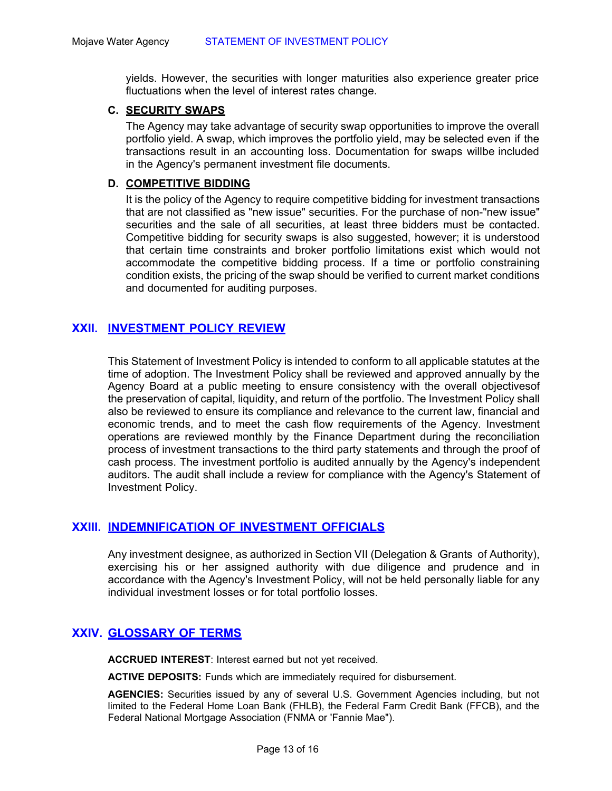yields. However, the securities with longer maturities also experience greater price fluctuations when the level of interest rates change.

#### **C. SECURITY SWAPS**

The Agency may take advantage of security swap opportunities to improve the overall portfolio yield. A swap, which improves the portfolio yield, may be selected even if the transactions result in an accounting loss. Documentation for swaps willbe included in the Agency's permanent investment file documents.

#### **D. COMPETITIVE BIDDING**

It is the policy of the Agency to require competitive bidding for investment transactions that are not classified as "new issue" securities. For the purchase of non-"new issue" securities and the sale of all securities, at least three bidders must be contacted. Competitive bidding for security swaps is also suggested, however; it is understood that certain time constraints and broker portfolio limitations exist which would not accommodate the competitive bidding process. If a time or portfolio constraining condition exists, the pricing of the swap should be verified to current market conditions and documented for auditing purposes.

# **XXII. INVESTMENT POLICY REVIEW**

This Statement of Investment Policy is intended to conform to all applicable statutes at the time of adoption. The Investment Policy shall be reviewed and approved annually by the Agency Board at a public meeting to ensure consistency with the overall objectives of the preservation of capital, liquidity, and return of the portfolio. The Investment Policy shall also be reviewed to ensure its compliance and relevance to the current law, financial and economic trends, and to meet the cash flow requirements of the Agency. Investment operations are reviewed monthly by the Finance Department during the reconciliation process of investment transactions to the third party statements and through the proof of cash process. The investment portfolio is audited annually by the Agency's independent auditors. The audit shall include a review for compliance with the Agency's Statement of Investment Policy.

# **XXIII. INDEMNIFICATION OF INVESTMENT OFFICIALS**

Any investment designee, as authorized in Section VII (Delegation & Grants of Authority), exercising his or her assigned authority with due diligence and prudence and in accordance with the Agency's Investment Policy, will not be held personally liable for any individual investment losses or for total portfolio losses.

# **XXIV. GLOSSARY OF TERMS**

**ACCRUED INTEREST**: Interest earned but not yet received.

**ACTIVE DEPOSITS:** Funds which are immediately required for disbursement.

**AGENCIES:** Securities issued by any of several U.S. Government Agencies including, but not limited to the Federal Home Loan Bank (FHLB), the Federal Farm Credit Bank (FFCB), and the Federal National Mortgage Association (FNMA or 'Fannie Mae").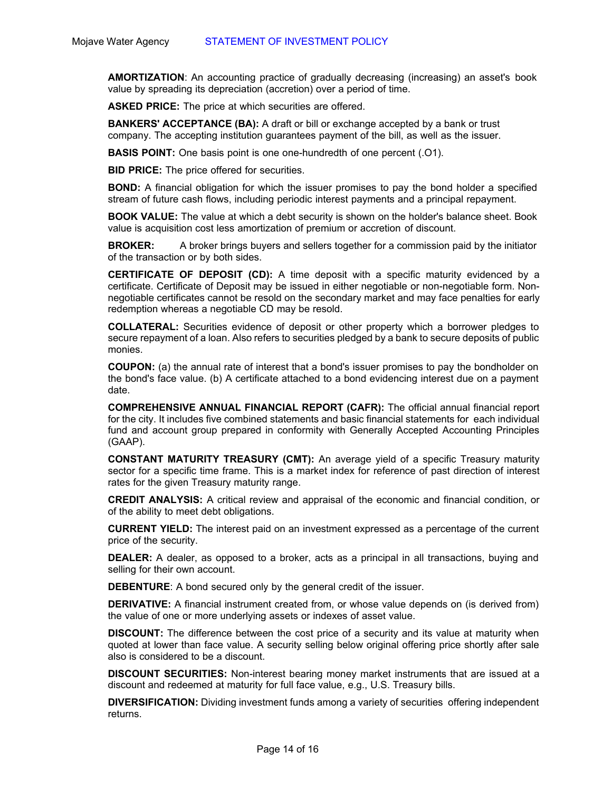**AMORTIZATION**: An accounting practice of gradually decreasing (increasing) an asset's book value by spreading its depreciation (accretion) over a period of time.

**ASKED PRICE:** The price at which securities are offered.

**BANKERS' ACCEPTANCE (BA):** A draft or bill or exchange accepted by a bank or trust company. The accepting institution guarantees payment of the bill, as well as the issuer.

**BASIS POINT:** One basis point is one one-hundredth of one percent (.O1).

**BID PRICE:** The price offered for securities.

**BOND:** A financial obligation for which the issuer promises to pay the bond holder a specified stream of future cash flows, including periodic interest payments and a principal repayment.

**BOOK VALUE:** The value at which a debt security is shown on the holder's balance sheet. Book value is acquisition cost less amortization of premium or accretion of discount.

**BROKER:** A broker brings buyers and sellers together for a commission paid by the initiator of the transaction or by both sides.

**CERTIFICATE OF DEPOSIT (CD):** A time deposit with a specific maturity evidenced by a certificate. Certificate of Deposit may be issued in either negotiable or non-negotiable form. Nonnegotiable certificates cannot be resold on the secondary market and may face penalties for early redemption whereas a negotiable CD may be resold.

**COLLATERAL:** Securities evidence of deposit or other property which a borrower pledges to secure repayment of a loan. Also refers to securities pledged by a bank to secure deposits of public monies.

**COUPON:** (a) the annual rate of interest that a bond's issuer promises to pay the bondholder on the bond's face value. (b) A certificate attached to a bond evidencing interest due on a payment date.

**COMPREHENSIVE ANNUAL FINANCIAL REPORT (CAFR):** The official annual financial report for the city. It includes five combined statements and basic financial statements for each individual fund and account group prepared in conformity with Generally Accepted Accounting Principles (GAAP).

**CONSTANT MATURITY TREASURY (CMT):** An average yield of a specific Treasury maturity sector for a specific time frame. This is a market index for reference of past direction of interest rates for the given Treasury maturity range.

**CREDIT ANALYSIS:** A critical review and appraisal of the economic and financial condition, or of the ability to meet debt obligations.

**CURRENT YIELD:** The interest paid on an investment expressed as a percentage of the current price of the security.

**DEALER:** A dealer, as opposed to a broker, acts as a principal in all transactions, buying and selling for their own account.

**DEBENTURE**: A bond secured only by the general credit of the issuer.

**DERIVATIVE:** A financial instrument created from, or whose value depends on (is derived from) the value of one or more underlying assets or indexes of asset value.

**DISCOUNT:** The difference between the cost price of a security and its value at maturity when quoted at lower than face value. A security selling below original offering price shortly after sale also is considered to be a discount.

**DISCOUNT SECURITIES:** Non-interest bearing money market instruments that are issued at a discount and redeemed at maturity for full face value, e.g., U.S. Treasury bills.

**DIVERSIFICATION:** Dividing investment funds among a variety of securities offering independent returns.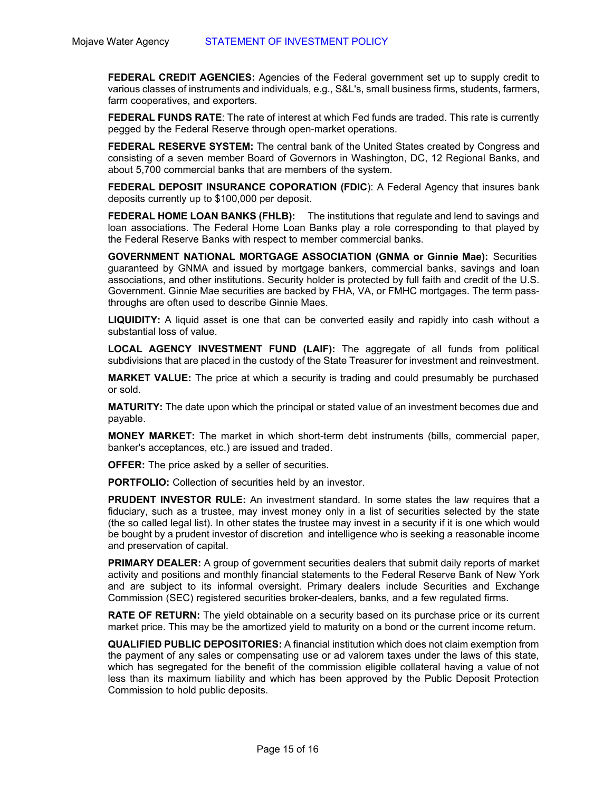**FEDERAL CREDIT AGENCIES:** Agencies of the Federal government set up to supply credit to various classes of instruments and individuals, e.g., S&L's, small business firms, students, farmers, farm cooperatives, and exporters.

**FEDERAL FUNDS RATE:** The rate of interest at which Fed funds are traded. This rate is currently pegged by the Federal Reserve through open-market operations.

**FEDERAL RESERVE SYSTEM:** The central bank of the United States created by Congress and consisting of a seven member Board of Governors in Washington, DC, 12 Regional Banks, and about 5,700 commercial banks that are members of the system.

**FEDERAL DEPOSIT INSURANCE COPORATION (FDIC**): A Federal Agency that insures bank deposits currently up to \$100,000 per deposit.

**FEDERAL HOME LOAN BANKS (FHLB):** The institutions that regulate and lend to savings and loan associations. The Federal Home Loan Banks play a role corresponding to that played by the Federal Reserve Banks with respect to member commercial banks.

**GOVERNMENT NATIONAL MORTGAGE ASSOCIATION (GNMA or Ginnie Mae):** Securities guaranteed by GNMA and issued by mortgage bankers, commercial banks, savings and loan associations, and other institutions. Security holder is protected by full faith and credit of the U.S. Government. Ginnie Mae securities are backed by FHA, VA, or FMHC mortgages. The term passthroughs are often used to describe Ginnie Maes.

**LIQUIDITY:** A liquid asset is one that can be converted easily and rapidly into cash without a substantial loss of value.

**LOCAL AGENCY INVESTMENT FUND (LAIF):** The aggregate of all funds from political subdivisions that are placed in the custody of the State Treasurer for investment and reinvestment.

**MARKET VALUE:** The price at which a security is trading and could presumably be purchased or sold.

**MATURITY:** The date upon which the principal or stated value of an investment becomes due and payable.

**MONEY MARKET:** The market in which short-term debt instruments (bills, commercial paper, banker's acceptances, etc.) are issued and traded.

**OFFER:** The price asked by a seller of securities.

**PORTFOLIO:** Collection of securities held by an investor.

**PRUDENT INVESTOR RULE:** An investment standard. In some states the law requires that a fiduciary, such as a trustee, may invest money only in a list of securities selected by the state (the so called legal list). In other states the trustee may invest in a security if it is one which would be bought by a prudent investor of discretion and intelligence who is seeking a reasonable income and preservation of capital.

**PRIMARY DEALER:** A group of government securities dealers that submit daily reports of market activity and positions and monthly financial statements to the Federal Reserve Bank of New York and are subject to its informal oversight. Primary dealers include Securities and Exchange Commission (SEC) registered securities broker-dealers, banks, and a few regulated firms.

**RATE OF RETURN:** The yield obtainable on a security based on its purchase price or its current market price. This may be the amortized yield to maturity on a bond or the current income return.

**QUALIFIED PUBLIC DEPOSITORIES:** A financial institution which does not claim exemption from the payment of any sales or compensating use or ad valorem taxes under the laws of this state, which has segregated for the benefit of the commission eligible collateral having a value of not less than its maximum liability and which has been approved by the Public Deposit Protection Commission to hold public deposits.